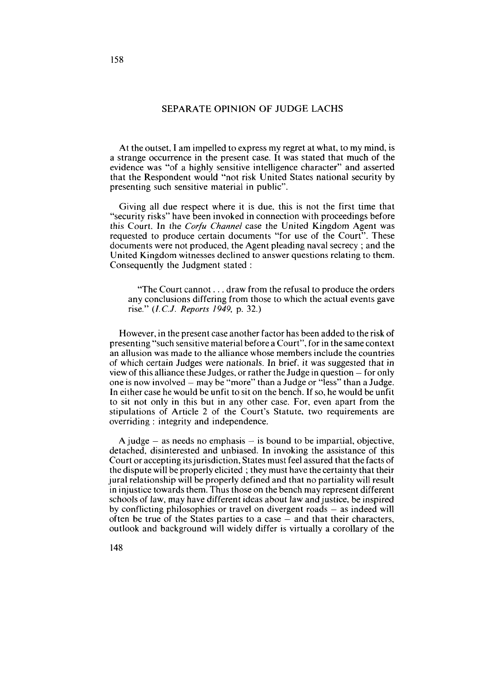## SEPARATE OPINION OF JUDGE LACHS

At the outset, **1** am impelled to express my regret at what, to my mind, is a strange occurrence in the present case. It was stated that much of the evidence was "of a highly sensitive intelligence character" and asserted that the Respondent would "not risk United States national security by presenting such sensitive material in public".

Giving al1 due respect where it is due, this is not the first time that "security risks" have been invoked in connection with proceedings before this Court. In the *Corfu Channel* case the United Kingdom Agent was requested to produce certain documents "for use of the Court". These documents were not produced, the Agent pleading naval secrecy ; and the United Kingdom witnesses declined to answer questions relating to them. Consequently the Judgment stated :

"The Court cannot . . . draw from the refusa1 to produce the orders any conclusions differing from those to which the actual events gave rise." (I.C.J. *Reports 1949,* p. *32.)* 

However, in the present case another factor has been added to the risk of presenting "such sensitive material before a Court", for in the same context an allusion was made to the alliance whose members include the countries of which certain Judges were nationals. In brief, it was suggested that in view of this alliance these Judges, or rather the Judge in question - for only one is now involved – may be "more" than a Judge or "less" than a Judge. In either case he would be unfit to sit on the bench. If so, he would be unfit to sit not only in this but in any other case. For, even apart from the stipulations of Article 2 of the Court's Statute, two requirements are overriding : integrity and independence.

A judge  $-$  as needs no emphasis  $-$  is bound to be impartial, objective, detached, disinterested and unbiased. In invoking the assistance of this Court or accepting itsjurisdiction, States must feel assured that the facts of the dispute will be properly elicited ; they must have the certainty that their jurai relationship will be properly defined and that no partiality will result in injustice towards them. Thus those on the bench may represent different schools of law, may have different ideas about law and justice, be inspired by conflicting philosophies or travel on divergent roads  $-$  as indeed will often be true of the States parties to a case  $-$  and that their characters, outlook and background will widely differ is virtually a corollary of the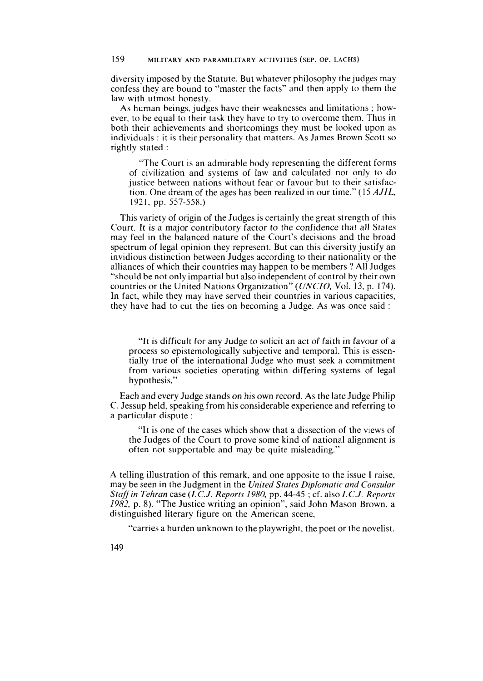diversity imposed by the Statute. But whatever philosophy the judges may confess they are bound to "master the facts" and then apply to them the law with utmost honesty.

As human beings, judges have their weaknesses and limitations ; however, to be equal to their task they have to try to overcome them. Thus in both their achievements and shortcomings they must be looked upon as individuals : it is their personality that matters. As James Brown Scott so rightly stated :

"The Court is an admirable body representing the different forms of civilization and systems of law and calculated not only to do justice between nations without fear or favour but to their satisfaction. One dream of the ages has been realized in our time." **(15** *AJIL,*  192 1. pp. *557-558.)* 

This variety of origin of the Judges is certainly the great strength of this Court. It is a major contributory factor to the confidence that al1 States may feel in the balanced nature of the Court's decisions and the broad spectrum of legal opinion they represent. But can this diversity justify an invidious distinction between Judges according to their nationality or the alliances of which their countries may happen to be members ? All Judges "should be not only impartial but also independent of control by their own countries or the United Nations Organization" *(UNCIO,* Vol. 13. p. 174). In fact, while they may have served their countries in various capacities, they have had to cut the ties on becoming a Judge. As was once said :

"It is difficult for any Judge to solicit an act of faith in favour of a process so epistemologically subjective and temporal. This is essentially true of the international Judge who must seek a commitment from various societies operating within differing systems of legal hypothesis."

Each and every Judge stands on his own record. As the late Judge Philip C. Jessup held. speaking from his considerable experience and referring to a particular dispute :

"It is one of the cases which show that a dissection of the views of the Judges of the Court to prove some kind of national alignment is often not supportable and may be quite misleading."

A telling illustration of this remark, and one apposite to the issue **1** raise, rnay be seen in the Judgment in the *United States Diplornatic and Consular Staff in Tehran* case *(I. C.J. Reports 1980,* pp. 44-45 ; cf. also *I. C.J. Reports 1982,* p. *8).* "The Justice writing an opinion", said John Mason Brown, a distinguished literary figure on the American scene.

"carries a burden unknown to the playwright, the poet or the novelist.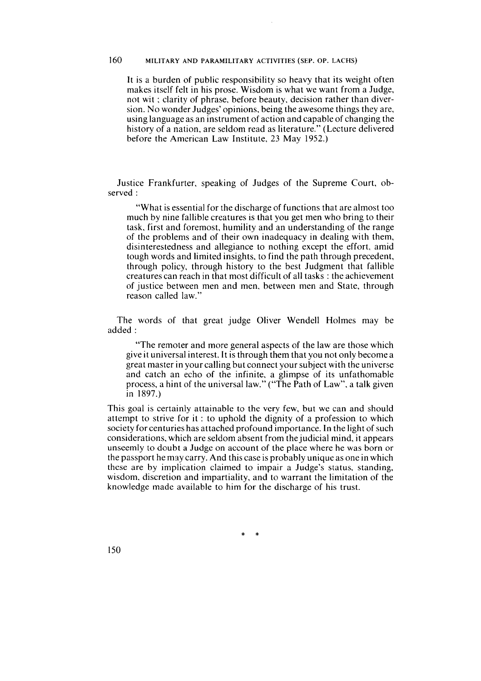It is a burden of public responsibility so heavy that its weight often makes itself felt in his prose. Wisdom is what we want from a Judge, not wit ; clarity of phrase. before beauty. decision rather than diversion. No wonder Judges' opinions. being the awesome things they are, using language as an instrument of action and capable of changing the history of a nation, are seldom read as literature." (Lecture delivered before the American Law Institute, 23 May 1952.)

Justice Frankfurter. speaking of Judges of the Supreme Court, observed :

"What is essential for the discharge of functions that are almost too much by nine fallible creatures is that you get men who bring to their task, first and foremost. humility and an understanding of the range of the problems and of their own inadequacy in dealing with them, disinterestedness and allegiance to nothing except the effort, amid tough words and limited insights, to find the path through precedent, through policy, through history to the best Judgment that fallible creatures can reach in that most difficult of al1 tasks : the achievement of justice between men and men, between men and State, through reason called law."

The words of that great judge Oliver Wendell Holmes may be added :

"The remoter and more general aspects of the law are those which give it universal interest. It is through them that you not only become a great master in your calling but connect your subject with the universe and catch an echo of the infinite, a glimpse of its unfathomable process, a hint of the universal law." ("The Path of Law". a talk given in 1897.)

This goal is certainly attainable to the very few, but we can and should attempt to strive for it : to uphold the dignity of a profession to which society for centuries has attached profound importance. In the light of such considerations, which are seldom absent from the judicial mind, it appears unseemly to doubt a Judge on account of the place where he was born or the passport he may carry. And this case is probably unique as one in which these are by implication claimed to impair a Judge's status, standing, wisdom, discretion and impartiality, and to warrant the limitation of the knowledge made available to him for the discharge of his trust.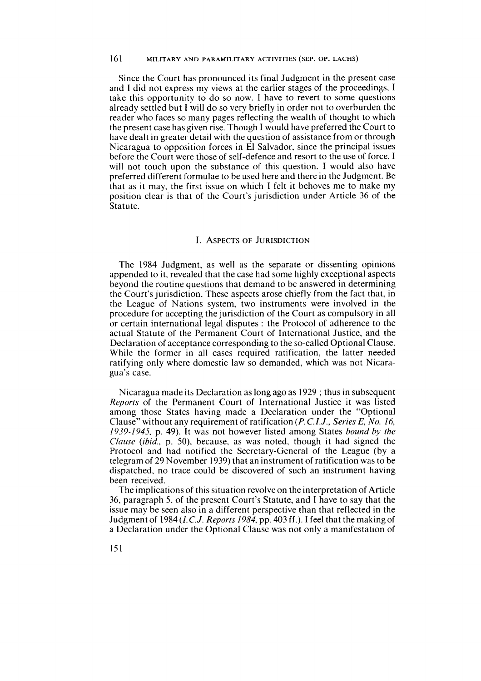Since the Court has pronounced its final Judgment in the present case and 1 did not express my views at the earlier stages of the proceedings, 1 take this opportunity to do so now. **1** have to revert to some questions already settled but 1 will do so very briefly in order not to overburden the reader who faces so many pages reflecting the wealth of thought to which the present case has given rise. Though **1** would have preferred the Court to have dealt in greater detail with the question of assistance from or through Nicaragua to opposition forces in El Salvador, since the principal issues before the Court were those of self-defence and resort to the use of force. 1 will not touch upon the substance of this question. **1** would also have preferred different formulae to be used here and there in the Judgment. Be that as it may, the first issue on which **1** felt it behoves me to make my position clear is that of the Court's jurisdiction under Article 36 of the Statute.

### **I. ASPECTS OF JURISDICTION**

The 1984 Judgment, as well as the separate or dissenting opinions appended to it, revealed that the case had some highly exceptional aspects beyond the routine questions that demand to be answered in determining the Court's jurisdiction. These aspects arose chiefly from the fact that, in the League of Nations system, two instruments were involved in the procedure for accepting the jurisdiction of the Court as compulsory in al1 or certain international legal disputes : the Protocol of adherence to the actual Statute of the Permanent Court of International Justice, and the Declaration of acceptance corresponding to the so-called Optional Clause. While the former in all cases required ratification, the latter needed ratifying only where domestic law so demanded, which was not Nicaragua's case.

Nicaragua made its Declaration as long ago as 1929 ; thus in subsequent *Reports* of the Permanent Court of International Justice it was listed among those States having made a Declaration under the "Optional Clause" without any requirement of ratification (P. *C.I.J., Series E, No.* 16, 1939-1945, p. 49). It was not however listed among States *bound by the Clause* (ihid., p. 50). because, as was noted, though it had signed the Protocol and had notified the Secretary-General of the League (by a telegram of 29 November 1939) that an instrument of ratification was to be dispatched, no trace could be discovered of such an instrument having been received.

The implications of this situation revolve on the interpretation of Article 36. paragraph 5, of the present Court's Statute, and 1 have to Say that the issue may be seen also in a different perspective than that reflected in the Judgment of 1984 *(1.C.J. Reports* 1984, pp. 403 ff.). **1** feel that the making of a Declaration under the Optional Clause was not only a manifestation of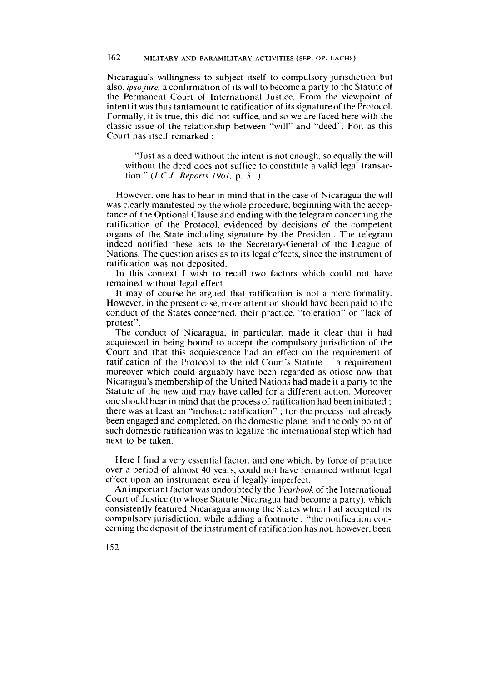Nicaragua's willingness to subject itself to compulsory jurisdiction but also, *ipsojure,* a confirmation of its will to become a party to the Statute of the Permanent Court of International Justice. From the viewpoint of intent it was thus tantamount to ratification of its signature of the Protocol. Formally. it is true, this did not suffice, and so we are faced here with the classic issue of the relationship between "will" and "deed". For, as this Court has itself remarked :

"Just as a deed without the intent is not enough, so equally the will without the deed does not suffice to constitute a valid legal transaction." (I.C.J. *Reports* 1961, p. *31.)* 

However. one has to bear in mind that in the case of Nicaragua the will was clearly manifested by the whole procedure. beginning with the acceptance of the Optional Clause and ending with the telegram concerning the ratification of the Protocol. evidenced by decisions of the competent organs of the State including signature by the President. The telegram indeed notified these acts to the Secretary-General of the League of Nations. The question arises as to its legal effects, since the instrument of ratification was not deposited.

In this context 1 wish to recall two factors which could not have remained without legal effect.

It may of course be argued that ratification is not a mere formality. However. in the present case. more attention should have been paid to the conduct of the States concerned. their practice. "toleration" or "lack of protest".

The conduct of Nicaragua, in particular, made it clear that it had acquiesced in being bound to accept the compulsory jurisdiction of the Court and that this acquiescence had an effect on the requirement of ratification of the Protocol to the old Court's Statute  $-$  a requirement moreover which could arguably have been regarded as otiose now that Nicaragua's membership of the United Nations had made it a party to the Statute of the new and may have called for a different action. Moreover one should bear in mind that the process of ratification had been initiated : there was at least an "inchoate ratification" ; for the process had already been engaged and completed, on the domestic plane, and the only point of such domestic ratification was to legalize the international step which had next to be taken.

Here 1 find a very essential factor. and one which, by force of practice over a period of almost 40 years, could not have remained without legal effect upon an instrument even if legally imperfect.

An important factor was undoubtedly the *Yearhook* of the International Court of Justice (to whose Statute Nicaragua had become a party). which consistently featured Nicaragua among the States which had accepted its compulsory jurisdiction, while adding a footnote : "the notification concerning the deposit of the instrument of ratification has not, however. been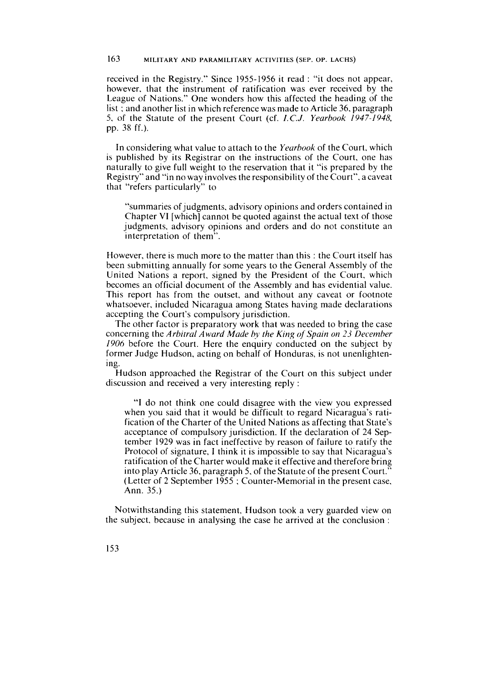received in the Registry." Since 1955-1956 it read : "it does not appear, however. that the instrument of ratification was ever received by the League of Nations." One wonders how this affected the heading of the list : and another list in which reference was made to Article 36, paragraph 5, of the Statute of the present Court (cf. *I.C.J. Yeurhook* 1947-1948, pp. 38 ff.).

In considering what value to attach to the *Yeurhook* of the Court, which is published by its Registrar on the instructions of the Court, one has naturally to give full weight to the reservation that it "is prepared by the Registry" and "in no way involves the responsibility of the Court". a caveat that "refers particularly" to

"summaries of judgments. advisory opinions and orders contained in Chapter VI [which] cannot be quoted against the actual text of those judgments. advisory opinions and orders and do not constitute an interpretation of them".

However, there is much more to the matter than this : the Court itself has been submitting annually for some years to the General Assembly of the United Nations a report, signed by the President of the Court, which becomes an official document of the Assembly and has evidential value. This report has from the outset, and without any caveat or footnote whatsoever. included Nicaragua among States having made declarations accepting the Court's compulsory jurisdiction.

The other factor is preparatory work that was needed to bring the case concerning the *Arbitrul Awurd Made* by *the King* of *Spain on 23 Decemher 1906* before the Court. Here the enquiry conducted on the subject by former Judge Hudson, acting on behalf of Honduras, is not unenlightening.

Hudson approached the Registrar of the Court on this subject under discussion and received a very interesting reply :

"1 do not think one could disagree with the view you expressed when you said that it would be difficult to regard Nicaragua's ratification of the Charter of the United Nations as affecting that State's acceptance of compulsory jurisdiction. If the declaration of 24 September 1929 was in fact ineffective by reason of failure to ratify the Protocol of signature, **1** think it is impossible to Say that Nicaragua's ratification of the Charter would make it effective and therefore bring into play Article 36, paragraph 5, of the Statute of the present Court." (Letter of 2 September 1955 ; Counter-Memorial in the present case. Ann. 35.)

Notwithstanding this statement, Hudson took a very guarded view on the subject, because in analysing the case he arrived at the conclusion :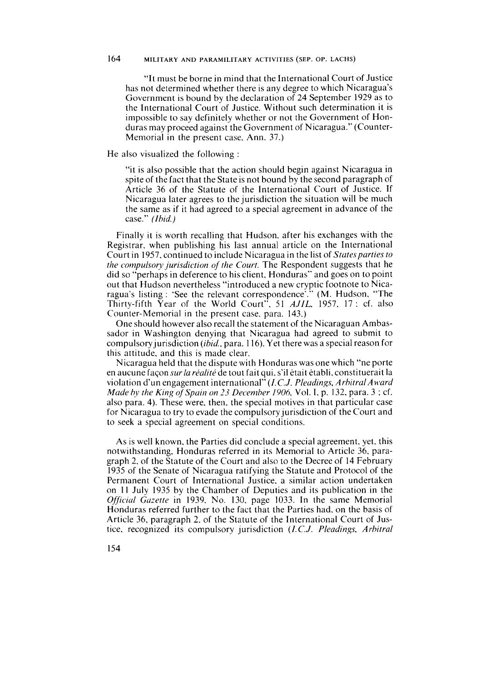"It must be borne in mind that the International Court of Justice has not determined whether there is any degree to which Nicaragua's Government is bound by the declaration of 24 September 1929 as to the International Court of Justice. Without such determination it is impossible to say definitely whether or not the Government of Honduras may proceed against the Government of Nicaragua." (Counter-Memorial in the present case. Ann. 37.)

He also visualized the following

"it is also possible that the action should begin against Nicaragua in spite of the fact that the State is not bound by the second paragraph of Article 36 of the Statute of the International Court of Justice. If Nicaragua later agrees to the jurisdiction the situation will be much the same as if it had agreed to a special agreement in advance of the case." *(Ibid.)* 

Finally it is worth recalling that Hudson, after his exchanges with the Registrar, when publishing his last annual article on the International Court in 1957. continued to include Nicaragua in the list of *Stutesparties to the compulsory jurisdiction of the Court*. The Respondent suggests that he did so "perhaps in deference to his client. Honduras" and goes on to point out that Hudson nevertheless "introduced a new cryptic footnote to Nicaragua's listing : 'See the relevant correspondence'." (M. Hudson. "The Thirty-fifth Year of the World Court". 51 *AJIL.* 1957. 17 : cf. also Çounter-Memorial in the present case. para. 143.)

One should however also recall the statement of the Nicaraguan Ambassador in Washington denying that Nicaragua had agreed to submit to compulsoryjurisdiction *(ibid.,* para. 1 16). Yet there was a special reason for this attitude. and this is made clear.

Nicaragua held that the dispute with Honduras was one which "ne porte en aucune façonsur *laréalitéde* tout fait qui. s'il était établi. constituerait la violation d'un engagement international<sup>"</sup> (I.C.J. Pleadings, Arbitral Award *Made by the King of Spain on 23 December 1906, Vol. I, p. 132, para. 3; cf.* also para. 4). These were, then. the special motives in that particular case for Nicaragua to try to evade the compulsory jurisdiction of the Court and to seek a special agreement on special conditions.

As is well known. the Parties did conclude a special agreement, yet. this notwithstanding. Honduras referred in its Memorial to Article 36. paragraph 2, of the Statute of the Court and also to the Decree of 14 February 1935 of the Senate of Nicaragua ratifying the Statute and Protocol of the Permanent Court of International Justice. a similar action undertaken on 11 July 1935 by the Chamber of Deputies and its publication in the *Official Gazette* in 1939, No. 130, page 1033. In the same Memorial Honduras referred further to the fact that the Parties had. on the basis of Article 36, paragraph 2. of the Statute of the International Court of Justice. recognized its compulsory jurisdiction *(I.C.J. Pleadings, Arbitral*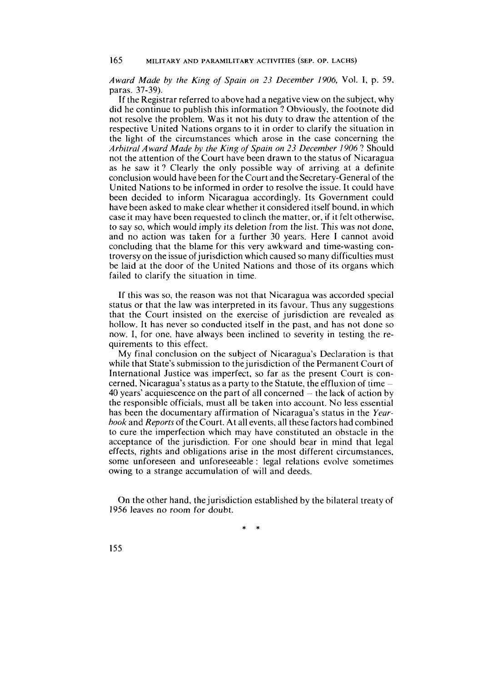*Award Made by rhe King of Spain on 23 December 1906,* Vol. 1, p. 59, paras. 37-39).

If the Registrar referred to above had a negative view on the subject, why did he continue to publish this information ? Obviously, the footnote did not resolve the problem. Was it not his duty to draw the attention of the respective United Nations organs to it in order to clarify the situation in the light of the circumstances which arose in the case concerning the *Arbitral Award Made hy the King of Spain on 23 December 1906* ? Should not the attention of the Court have been drawn to the status of Nicaragua as he saw it ? Clearly the only possible way of arriving at a definite conclusion would have been for the Court and the Secretary-General of the United Nations to be informed in order to resolve the issue. It could have been decided to inform Nicaragua accordingly. Its Government could have been asked to make clear whether it considered itself bound. in which case it may have been requested to clinch the matter, or, if it felt otherwise, to say so, which would imply its deletion from the list. This was not done, and no action was taken for a further 30 years. Here 1 cannot avoid concluding that the blame for this very awkward and time-wasting controversy on the issue of jurisdiction which caused so many difficulties must be laid at the door of the United Nations and those of its organs which failed to clarify the situation in time.

If this was so, the reason was not that Nicaragua was accorded special status or that the law was interpreted in its favour. Thus any suggestions that the Court insisted on the exercise of jurisdiction are revealed as hollow. It has never so conducted itself in the past, and has not done so now. 1, for one, have always been inclined to severity in testing the requirements to this effect.

My final conclusion on the subject of Nicaragua's Declaration is that while that State's submission to the jurisdiction of the Permanent Court of International Justice was imperfect, so far as the present Court is concerned. Nicaragua's status as a party to the Statute, the effluxion of time - 40 years' acquiescence on the part of all concerned  $-$  the lack of action by the responsible officials, must al1 be taken into account. No less essential has been the documentary affirmation of Nicaragua's status in the *Yearbook* and *Reports* of the Court. At al1 events, al1 these factors had combined to cure the imperfection which may have constituted an obstacle in the acceptance of the jurisdiction. For one should bear in mind that legal effects, rights and obligations arise in the most different circumstances, some unforeseen and unforeseeable : legal relations evolve sometimes owing to a strange accumulation of will and deeds.

On the other hand, the jurisdiction established by the bilateral treaty of 1956 leaves no room for doubt.

 $\ast$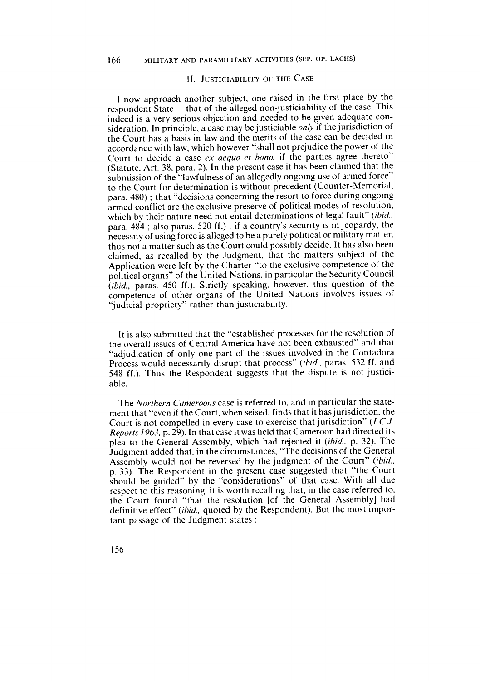### **II. JUSTICIABILITY OF THE CASE**

I now approach another subject, one raised in the first place by the respondent State - that of the alleged non-justiciability of the case. This indeed is a very serious objection and needed to be given adequate consideration. In principle, a case may be justiciable *only* if the jurisdiction of the Court has a basis in law and the merits of the case can be decided in accordance with law, which however "shall not prejudice the power of the Court to decide a case ex aequo et bono, if the parties agree thereto" (Statute, Art. 38, para. 2). In the present case it has been claimed that the submission of the "lawfulness of an allegedly ongoing use of armed force" to the Court for determination is without precedent (Counter-Memorial, para. 480); that "decisions concerning the resort to force during ongoing armed conflict are the exclusive preserve of political modes of resolution, which by their nature need not entail determinations of legal fault" (ibid., para. 484; also paras. 520 ff.): if a country's security is in jeopardy, the necessity of using force is alleged to be a purely political or military matter, thus not a matter such as the Court could possibly decide. It has also been claimed, as recalled by the Judgment, that the matters subject of the Application were left by the Charter "to the exclusive competence of the political organs" of the United Nations, in particular the Security Council (ibid., paras. 450 ff.). Strictly speaking, however, this question of the competence of other organs of the United Nations involves issues of "judicial propriety" rather than justiciability.

It is also submitted that the "established processes for the resolution of the overall issues of Central America have not been exhausted" and that "adjudication of only one part of the issues involved in the Contadora Process would necessarily disrupt that process" (ibid., paras. 532 ff. and 548 ff.). Thus the Respondent suggests that the dispute is not justiciable.

The Northern Cameroons case is referred to, and in particular the statement that "even if the Court, when seised, finds that it has jurisdiction, the Court is not compelled in every case to exercise that jurisdiction" (I.C.J. Reports 1963, p. 29). In that case it was held that Cameroon had directed its plea to the General Assembly, which had rejected it (ibid., p. 32). The Judgment added that, in the circumstances, "The decisions of the General Assembly would not be reversed by the judgment of the Court" (ibid., p. 33). The Respondent in the present case suggested that "the Court should be guided" by the "considerations" of that case. With all due respect to this reasoning, it is worth recalling that, in the case referred to, the Court found "that the resolution [of the General Assembly] had definitive effect" (ibid., quoted by the Respondent). But the most important passage of the Judgment states: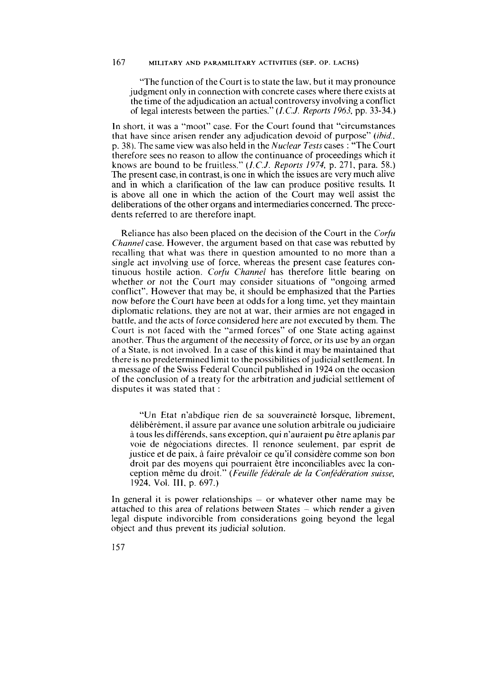"The function of the Court is to state the law, but it rnay pronounce judgment only in connection with concrete cases where there exists at the time of the adjudication an actual controversy involving a conflict of legal interests between the parties." *(I.C.J. Reports 1963,* pp. *33-34.)* 

In short. it was a "moot" case. For the Court found that "circumstances that have since arisen render any adjudication devoid of purpose" *(ihid.,*  p. 38). The same view was also held in the *Nuclear Tests* cases : "The Court therefore sees no reason to allow the continuance of proceedings which it knows are bound to be fruitless." **(1.** *C.J. Reports 1974,* p. 27 1, para. 58.) The present case, in contrast, is one in which the issues are very much alive and in which a clarification of the law can produce positive results. It is above all one in which the action of the Court may well assist the deliberations of the other organs and intermediaries concerned. The precedents referred to are therefore inapt.

Reliance has also been placed on the decision of the Court in the *Corfu Channel* case. However, the argument based on that case was rebutted by recalling that what was there in question amounted to no more than a single act involving use of force, whereas the present case features continuous hostile action. *Corfu Channel* has therefore little bearing on whether or not the Court may consider situations of "ongoing armed conflict". However that may be, it should be emphasized that the Parties now before the Court have been at odds for a long time, yet they maintain diplomatic relations, they are not at war. their armies are not engaged in battle. and the acts of force considered here are not executed by them. The Court is not faced with the "armed forces" of one State acting against another. Thus the argument of the necessity of force. or its use by an organ of a State, is not involved. In a case of this kind it rnay be maintained that there is no predetermined limit to the possibilities of judicial settlement. In a message of the Swiss Federal Council published in 1924 on the occasion of the conclusion of a treaty for the arbitration and judicial settlement of disputes it was stated that :

"Un Etat n'abdique rien de sa souveraineté lorsque, librement, délibérément, il assure par avance une solution arbitrale ou judiciaire à tous les différends, sans exception, qui n'auraient pu être aplanis par voie de négociations directes. Il renonce seulement. par esprit de justice et de paix. à faire prévaloir ce qu'il considère comme son bon droit par des moyens qui pourraient être inconciliables avec la conception même du droit." *(Feuille fédérule de la Confédération suisse,*  1924. Vol. III, p. 697.)

In general it is power relationships  $-$  or whatever other name may be attached to this area of relations between States - which render a given legal dispute indivorcible from considerations going beyond the legal object and thus prevent its judicial solution.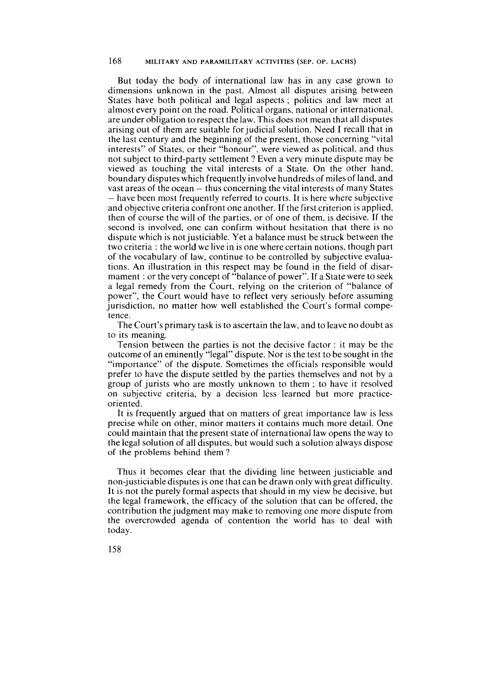But today the body of international law has in any case grown to dimensions unknown in the past. Almost al1 disputes arising between States have both political and legal aspects ; politics and law meet at almost every point on the road. Political organs, national or international, are under obligation to respect the law. This does not mean that al1 disputes arising out of them are suitable forjudicial solution. Need **1** recall that in the last century and the beginning of the present, those concerning "vital interests" of States, or their "honour", were viewed as political, and thus not subject to third-party settlement ? Even a very minute dispute may be viewed as touching the vital interests of a State. On the other hand, boundary disputes which frequently involve hundreds of miles of land, and vast areas of the ocean  $-$  thus concerning the vital interests of many States - have been most frequently referred to courts. It is here where subjective and objective criteria confront one another. If the first criterion is applied, then of course the will of the parties, or of one of them, is decisive. If the second is involved, one can confirm without hesitation that there is no dispute which is not justiciable. Yet a balance must be struck between the two criteria : the world we live in is one where certain notions, though part of the vocabulary of law, continue to be controlled by subjective evaluations. An illustration in this respect may be found in the field of disarmament : or the very concept of "balance of power". If a State were to seek a legal remedy from the Court, relying on the criterion of "balance of power", the Court would have to reflect very seriously before assuming jurisdiction, no matter how well established the Court's forrnal competence.

The Court's primary task is to ascertain the law, and to leave no doubt as to its meaning.

Tension between the parties is not the decisive factor : it may be the outcome of an eminently "legal" dispute. Nor is the test to be sought in the "importance" of the dispute. Sornetimes the officials responsible would prefer to have the dispute settled by the parties themselves and not by a group of jurists who are mostly unknown to them ; to have it resolved on subjective criteria, by a decision less learned but more practiceoriented.

It is frequently argued that on matters of great importance law is less precise while on other, minor matters it contains much more detail. One could maintain that the present state of international law opens the way to the legal solution of al1 disputes, but would such a solution always dispose of the problems behind them ?

Thus it becomes clear that the dividing line between justiciable and non-justiciable disputes is one that can be drawn only with great difficulty. It is not the purely formal aspects that should in my view be decisive, but the legal framework, the efficacy of the solution that can be offered, the contribution the judgment may make to removing one more dispute from the overcrowded agenda of contention the world has to deal with today.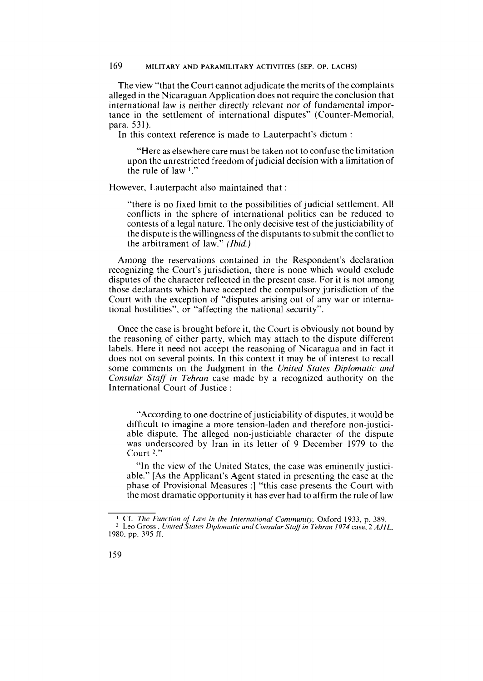The view "that the Court cannot adjudicate the merits of the complaints alleged in the Nicaraguan Application does not require the conclusion that international law is neither directly relevant nor of fundamental importance in the settlement of international disputes" (Counter-Memorial, para. 531).

In this context reference is made to Lauterpacht's dictum :

"Here as elsewhere care must be taken not to confuse the limitation upon the unrestricted freedom of judicial decision with a limitation of the rule of law **l."** 

However, Lauterpacht also maintained that:

"there is no fixed limit to the possibilities of judicial settlement. Al1 conflicts in the sphere of international politics can be reduced to contests of a legal nature. The only decisive test of the justiciability of the dispute is the willingness of the disputants to submit the conflict to the arbitrament of law." *(Ihid.)* 

Among the reservations contained in the Respondent's declaration recognizing the Court's jurisdiction, there is none which would exclude disputes of the character reflected in the present case. For it is not among those declarants which have accepted the compulsory jurisdiction of the Court with the exception of "disputes arising out of any war or international hostilities", or "affecting the national security".

Once the case is brought before it, the Court is obviously not bound by the reasoning of either party, which may attach to the dispute different labels. Here it need not accept the reasoning of Nicaragua and in fact it does not on several points. In this context it may be of interest to recall some comments on the Judgment in the *United States Diplornatic and Consular Staff in Tehrun* case made by a recognized authority on the International Court of Justice :

"According to one doctrine of justiciability of disputes, it would be difficult to imagine a more tension-laden and therefore non-justiciable dispute. The alleged non-justiciable character of the dispute was underscored by Iran in its letter of 9 December 1979 to the Court  $2$ ."

"In the view of the United States, the case was eminently justiciable." [As the Applicant's Agent stated in presenting the case at the phase of Provisional Measures :] "this case presents the Court with the most dramatic opportunity it has ever had to affirm the rule of law

<sup>&#</sup>x27; Cf. *The Funcrion of Law in the lnrernutional Communiry, Oxford 1933,* p. 389. <sup>2</sup> Leo Gross, United States Diplomatic and Consular Staff in Tehran 1974 case, 2 AJIL, 1980. **pp.** 395 **ff.**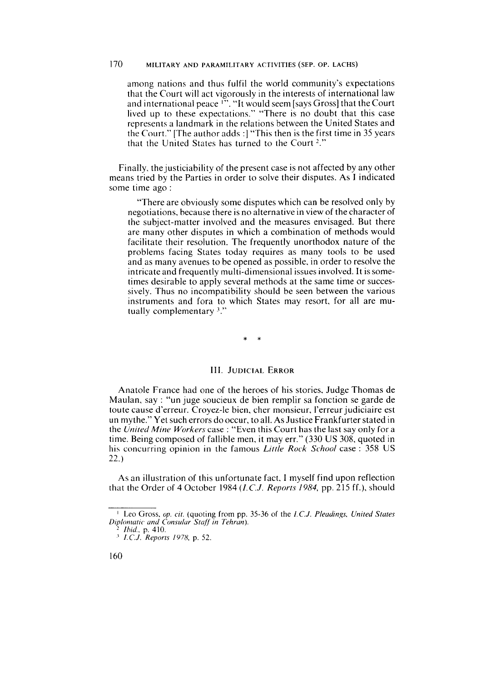among nations and thus fulfil the world community's expectations that the Court will act vigorously in the interests of international law and international peace **l".** "lt would seem [says Gross] that the Court lived up to these expectations." "There is no doubt that this case represents a landmark in the relations between the United States and the Court." [The author adds :] "This then is the first time in 35 years that the United States has turned to the Court<sup>2</sup>."

Finally, the justiciability of the present case is not affected by any other means tried by the Parties in order to solve their disputes. As **1** indicated some time ago :

"There are obviously some disputes which can be resolved only by negotiations, because there is no alternative in view of the character of the subject-matter involved and the measures envisaged. But there are many other disputes in which a combination of methods would facilitate their resolution. The frequently unorthodox nature of the problems facing States today requires as many tools to be used and as many avenues to be opened as possible. in order to resolve the intricate and frequently multi-dimensional issues involved. It is sometimes desirable to apply several methods at the same time or successively. Thus no incompatibility should be seen between the various instruments and fora to which States may resort, for al1 are mutually complementary **3."** 

# III. JUDICIAL ERROR

Anatole France had one of the heroes of his stories. Judge Thomas de Maulan, say : "un juge soucieux de bien remplir sa fonction se garde de toute cause d'erreur. Croyez-le bien, cher monsieur, l'erreur judiciaire est un mythe." Yet such errors do occur, to all. As Justice Frankfurter stated in the *United Mine Workers* case : "Even this Court has the last say only for a time. Being composed of fallible men, it may err." (330 US 308. quoted in his concurring opinion in the famous *Little Rock School* case : 358 US 22.)

As an illustration of this unfortunate fact. I myself find upon reflection that the Order of 4 October 1984 (I.C.J. *Reports 1984,* pp. 215 ff.), should

<sup>&#</sup>x27; Leo Gross. *op. cit.* (quoting from pp. 35-36 of the I.C.J. *Pleudings. United Stutes Brplon~utic und Consulur Stuff in Tehrun).* 

*Ihid.,* **p.** *410.* 

<sup>&#</sup>x27; *I.C.J. Reporrs 1978.* **p.** *52.*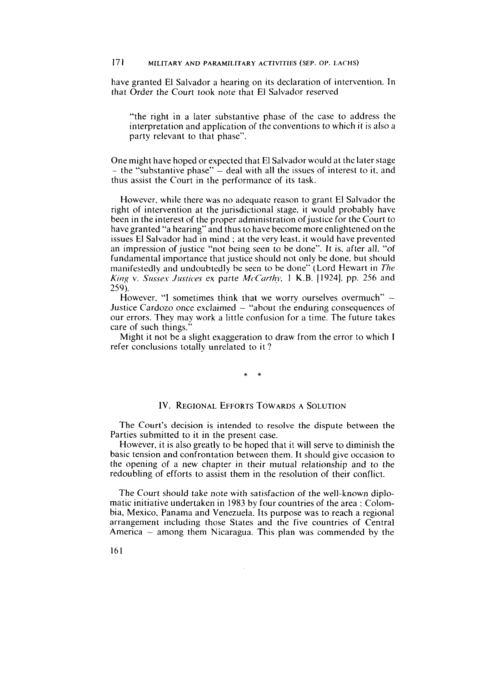have granted El Salvador a hearing on its declaration of intervention. In that Order the Court took note that El Salvador reserved

"the right in a later substantive phase of the case to address the interpretation and application of the conventions to which it is also a party relevant to that phase".

One might have hoped or expected that El Salvador would at the later stage  $-$  the "substantive phase"  $-$  deal with all the issues of interest to it, and thus assist the Court in the performance of its task.

However. while there was no adequate reason to grant El Salvador the right of intervention at the jurisdictional stage. it would probably have been in the interest of the proper administration of justice for the Court to have granted "a hearing" and thus to have become more enlightened on the issues El Salvador had in mind ; at the very least. it would have prevented an impression of justice "not being seen to be done". It is. after al]. "of fundamental importance that justice should not only be done, but should manifestedly and undoubtedly be seen to be done" (Lord Hewart in *The* King v. *Sussex Justices* ex parte *McCarthv*, 1 K.B. [1924]. pp. 256 and 259).

However. "I sometimes think that we worry ourselves overmuch" -Justice Cardozo once exclaimed  $-$  "about the enduring consequences of our errors. They may work a little confusion for a time. The future takes care of such things.

Might it not be a slight exaggeration to draw from the error to which 1 refer conclusions totally unrelated to it ?

### IV. REGIONAL EFFORTS TOWARDS A SOLUTION

The Court's decision is intended to resolve the dispute between the Parties submitted to it in the present case.

However, it is also greatly to be hoped that it will serve to diminish the basic tension and confrontation between them. It should give occasion to the opening of a new chapter in their mutual relationship and to the redoubling of efforts to assist them in the resolution of their conflict.

The Court should take note with satisfaction of the well-known diplomatic initiative undertaken in 1983 by four countries of the area : Colombia, Mexico, Panama and Venezuela. Its purpose was to reach a regional arrangement including those States and the five countries of Central America - among them Nicaragua. This plan was commended by the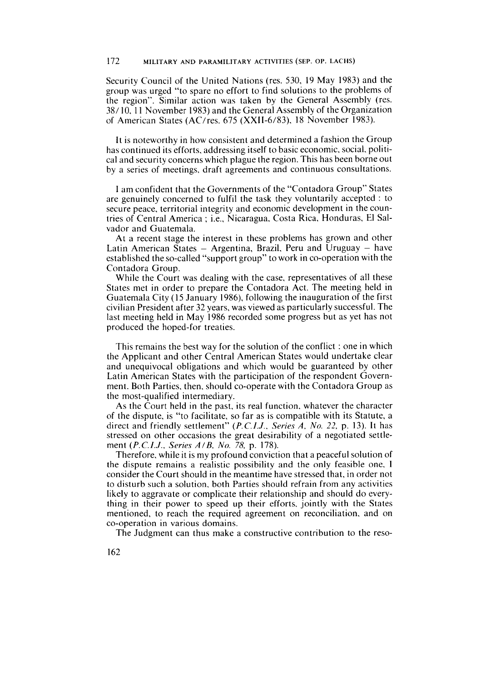Security Council of the United Nations (res. 530, 19 May 1983) and the group was urged "to spare no effort to find solutions to the problems of the region". Similar action was taken by the General Assembly (res. 38/ 10, 1 1 November 1983) and the General Assembly of the Organization of American States (AC/res. 675 (XXII-6/83), 18 November 1983).

It is noteworthy in how consistent and determined a fashion the Group has continued its efforts, addressing itself to basic economic. social, political and security concerns which plague the region. This has been borne out by a series of meetings, draft agreements and continuous consultations.

1 am confident that the Governments of the "Contadora Group" States are genuinely concerned to fulfil the task they voluntarily accepted : to secure peace, territorial integrity and economic development in the countries of Central America ; i.e., Nicaragua, Costa Rica, Honduras, El Salvador and Guatemala.

At a recent stage the interest in these problems has grown and other Latin American States  $-$  Argentina, Brazil, Peru and Uruguay  $-$  have established the so-called "support group" to work in co-operation with the Contadora Group.

While the Court was dealing with the case, representatives of all these States met in order to prepare the Contadora Act. The meeting held in Guatemala City (15 January 1986), following the inauguration of the first civilian President after 32 years, was viewed as particularly successful. The last meeting held in May 1986 recorded some progress but as yet has not produced the hoped-for treaties.

This remains the best way for the solution of the conflict : one in which the Applicant and other Central American States would undertake clear and unequivocal obligations and which would be guaranteed by other Latin American States with the participation of the respondent Government. Both Parties, then, should co-operate with the Contadora Group as the most-qualified intermediary.

As the Court held in the past, its real function, whatever the character of the dispute, is "to facilitate, so far as is compatible with its Statute, a direct and friendly settlement" (P.C.I.J., *Series A, No.* 22, p. 13). It has stressed on other occasions the great desirability of a negotiated settlement (P.C.I.J., *Series A/B, No. 78,* p. 178).

Therefore, while it is my profound conviction that a peaceful solution of the dispute remains a realistic possibility and the only feasible one. 1 consider the Court should in the meantime have stressed that, in order not to disturb such a solution, both Parties should refrain from any activities likely to aggravate or complicate their relationship and should do everything in their power to speed up their efforts, jointly with the States mentioned, to reach the required agreement on reconciliation, and on CO-operation in various domains.

The Judgment can thus make a constructive contribution to the reso-